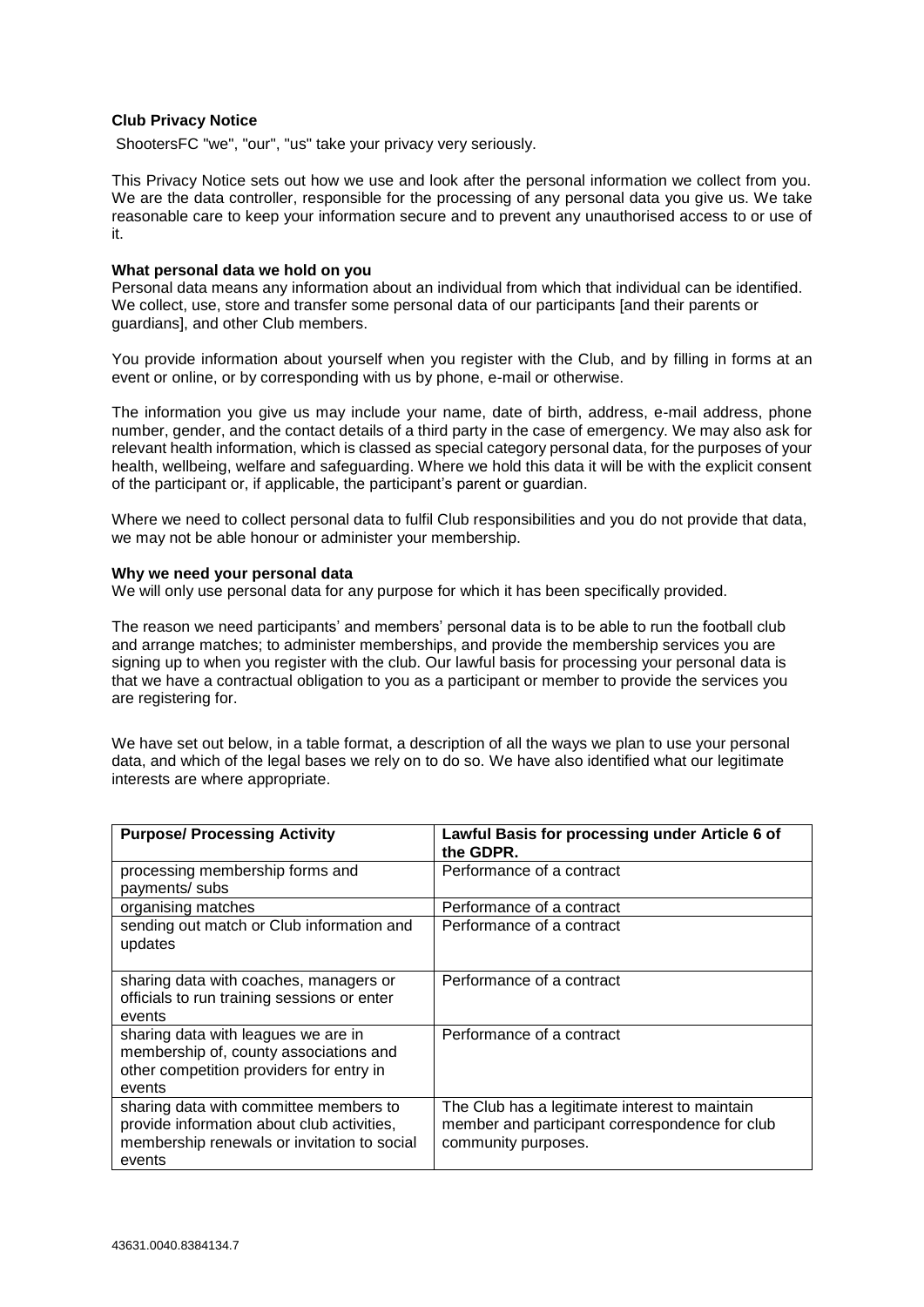## **Club Privacy Notice**

ShootersFC "we", "our", "us" take your privacy very seriously.

This Privacy Notice sets out how we use and look after the personal information we collect from you. We are the data controller, responsible for the processing of any personal data you give us. We take reasonable care to keep your information secure and to prevent any unauthorised access to or use of it.

#### **What personal data we hold on you**

Personal data means any information about an individual from which that individual can be identified. We collect, use, store and transfer some personal data of our participants [and their parents or guardians], and other Club members.

You provide information about yourself when you register with the Club, and by filling in forms at an event or online, or by corresponding with us by phone, e-mail or otherwise.

The information you give us may include your name, date of birth, address, e-mail address, phone number, gender, and the contact details of a third party in the case of emergency. We may also ask for relevant health information, which is classed as special category personal data, for the purposes of your health, wellbeing, welfare and safeguarding. Where we hold this data it will be with the explicit consent of the participant or, if applicable, the participant's parent or guardian.

Where we need to collect personal data to fulfil Club responsibilities and you do not provide that data, we may not be able honour or administer your membership.

#### **Why we need your personal data**

We will only use personal data for any purpose for which it has been specifically provided.

The reason we need participants' and members' personal data is to be able to run the football club and arrange matches; to administer memberships, and provide the membership services you are signing up to when you register with the club. Our lawful basis for processing your personal data is that we have a contractual obligation to you as a participant or member to provide the services you are registering for.

We have set out below, in a table format, a description of all the ways we plan to use your personal data, and which of the legal bases we rely on to do so. We have also identified what our legitimate interests are where appropriate.

| <b>Purpose/ Processing Activity</b>                                                                                                           | Lawful Basis for processing under Article 6 of<br>the GDPR.                                                             |
|-----------------------------------------------------------------------------------------------------------------------------------------------|-------------------------------------------------------------------------------------------------------------------------|
| processing membership forms and<br>payments/ subs                                                                                             | Performance of a contract                                                                                               |
| organising matches                                                                                                                            | Performance of a contract                                                                                               |
| sending out match or Club information and<br>updates                                                                                          | Performance of a contract                                                                                               |
| sharing data with coaches, managers or<br>officials to run training sessions or enter<br>events                                               | Performance of a contract                                                                                               |
| sharing data with leagues we are in<br>membership of, county associations and<br>other competition providers for entry in<br>events           | Performance of a contract                                                                                               |
| sharing data with committee members to<br>provide information about club activities,<br>membership renewals or invitation to social<br>events | The Club has a legitimate interest to maintain<br>member and participant correspondence for club<br>community purposes. |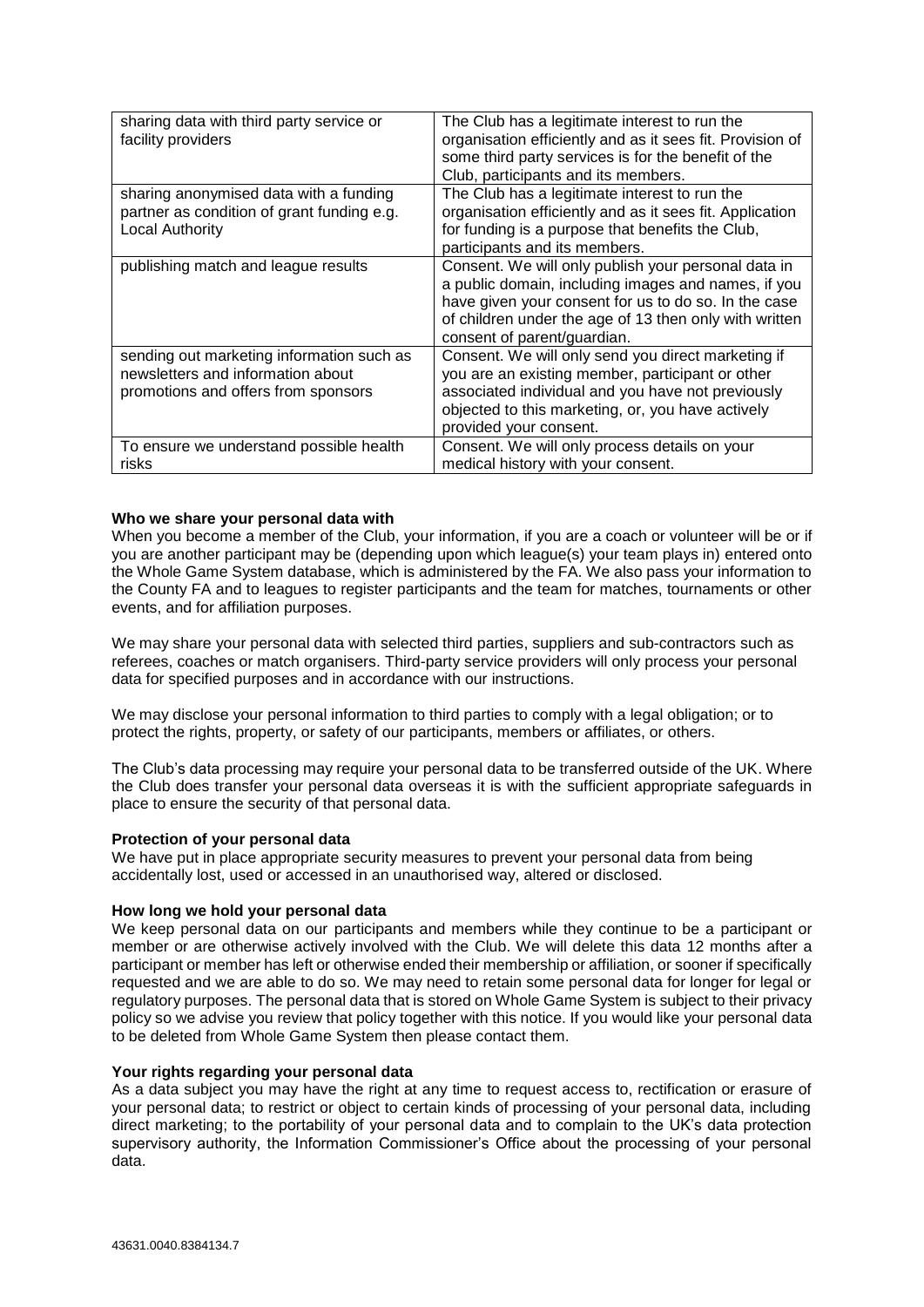| sharing data with third party service or<br>facility providers                                                        | The Club has a legitimate interest to run the<br>organisation efficiently and as it sees fit. Provision of<br>some third party services is for the benefit of the<br>Club, participants and its members.                                                    |
|-----------------------------------------------------------------------------------------------------------------------|-------------------------------------------------------------------------------------------------------------------------------------------------------------------------------------------------------------------------------------------------------------|
| sharing anonymised data with a funding<br>partner as condition of grant funding e.g.<br><b>Local Authority</b>        | The Club has a legitimate interest to run the<br>organisation efficiently and as it sees fit. Application<br>for funding is a purpose that benefits the Club,                                                                                               |
|                                                                                                                       | participants and its members.                                                                                                                                                                                                                               |
| publishing match and league results                                                                                   | Consent. We will only publish your personal data in<br>a public domain, including images and names, if you<br>have given your consent for us to do so. In the case<br>of children under the age of 13 then only with written<br>consent of parent/guardian. |
| sending out marketing information such as<br>newsletters and information about<br>promotions and offers from sponsors | Consent. We will only send you direct marketing if<br>you are an existing member, participant or other<br>associated individual and you have not previously<br>objected to this marketing, or, you have actively<br>provided your consent.                  |
| To ensure we understand possible health<br>risks                                                                      | Consent. We will only process details on your<br>medical history with your consent.                                                                                                                                                                         |

## **Who we share your personal data with**

When you become a member of the Club, your information, if you are a coach or volunteer will be or if you are another participant may be (depending upon which league(s) your team plays in) entered onto the Whole Game System database, which is administered by the FA. We also pass your information to the County FA and to leagues to register participants and the team for matches, tournaments or other events, and for affiliation purposes.

We may share your personal data with selected third parties, suppliers and sub-contractors such as referees, coaches or match organisers. Third-party service providers will only process your personal data for specified purposes and in accordance with our instructions.

We may disclose your personal information to third parties to comply with a legal obligation; or to protect the rights, property, or safety of our participants, members or affiliates, or others.

The Club's data processing may require your personal data to be transferred outside of the UK. Where the Club does transfer your personal data overseas it is with the sufficient appropriate safeguards in place to ensure the security of that personal data.

## **Protection of your personal data**

We have put in place appropriate security measures to prevent your personal data from being accidentally lost, used or accessed in an unauthorised way, altered or disclosed.

## **How long we hold your personal data**

We keep personal data on our participants and members while they continue to be a participant or member or are otherwise actively involved with the Club. We will delete this data 12 months after a participant or member has left or otherwise ended their membership or affiliation, or sooner if specifically requested and we are able to do so. We may need to retain some personal data for longer for legal or regulatory purposes. The personal data that is stored on Whole Game System is subject to their privacy policy so we advise you review that policy together with this notice. If you would like your personal data to be deleted from Whole Game System then please contact them.

# **Your rights regarding your personal data**

As a data subject you may have the right at any time to request access to, rectification or erasure of your personal data; to restrict or object to certain kinds of processing of your personal data, including direct marketing; to the portability of your personal data and to complain to the UK's data protection supervisory authority, the Information Commissioner's Office about the processing of your personal data.